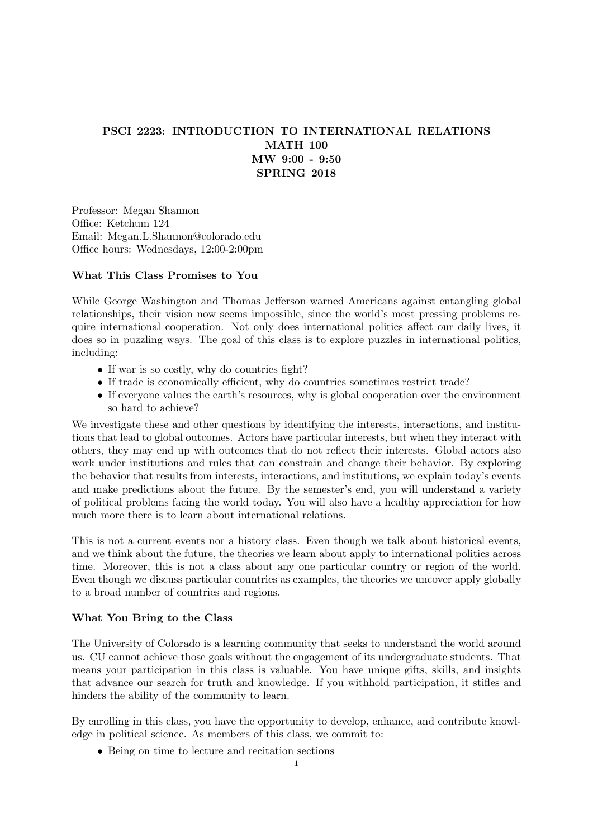# PSCI 2223: INTRODUCTION TO INTERNATIONAL RELATIONS MATH 100 MW 9:00 - 9:50 SPRING 2018

Professor: Megan Shannon Office: Ketchum 124 Email: Megan.L.Shannon@colorado.edu Office hours: Wednesdays, 12:00-2:00pm

### What This Class Promises to You

While George Washington and Thomas Jefferson warned Americans against entangling global relationships, their vision now seems impossible, since the world's most pressing problems require international cooperation. Not only does international politics affect our daily lives, it does so in puzzling ways. The goal of this class is to explore puzzles in international politics, including:

- If war is so costly, why do countries fight?
- If trade is economically efficient, why do countries sometimes restrict trade?
- If everyone values the earth's resources, why is global cooperation over the environment so hard to achieve?

We investigate these and other questions by identifying the interests, interactions, and institutions that lead to global outcomes. Actors have particular interests, but when they interact with others, they may end up with outcomes that do not reflect their interests. Global actors also work under institutions and rules that can constrain and change their behavior. By exploring the behavior that results from interests, interactions, and institutions, we explain today's events and make predictions about the future. By the semester's end, you will understand a variety of political problems facing the world today. You will also have a healthy appreciation for how much more there is to learn about international relations.

This is not a current events nor a history class. Even though we talk about historical events, and we think about the future, the theories we learn about apply to international politics across time. Moreover, this is not a class about any one particular country or region of the world. Even though we discuss particular countries as examples, the theories we uncover apply globally to a broad number of countries and regions.

### What You Bring to the Class

The University of Colorado is a learning community that seeks to understand the world around us. CU cannot achieve those goals without the engagement of its undergraduate students. That means your participation in this class is valuable. You have unique gifts, skills, and insights that advance our search for truth and knowledge. If you withhold participation, it stifles and hinders the ability of the community to learn.

By enrolling in this class, you have the opportunity to develop, enhance, and contribute knowledge in political science. As members of this class, we commit to:

• Being on time to lecture and recitation sections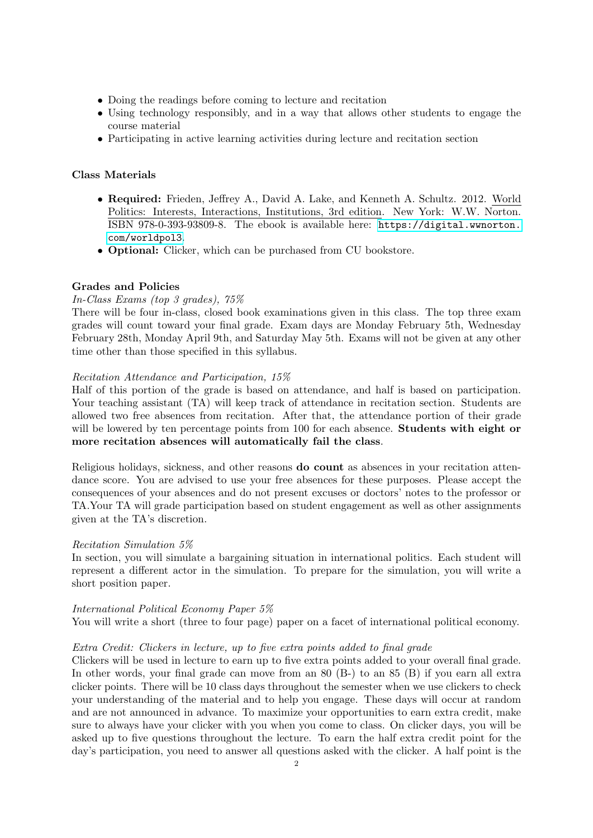- Doing the readings before coming to lecture and recitation
- Using technology responsibly, and in a way that allows other students to engage the course material
- Participating in active learning activities during lecture and recitation section

### Class Materials

- Required: Frieden, Jeffrey A., David A. Lake, and Kenneth A. Schultz. 2012. World Politics: Interests, Interactions, Institutions, 3rd edition. New York: W.W. Norton. ISBN 978-0-393-93809-8. The ebook is available here: [https://digital.wwnorton.](https://digital.wwnorton.com/worldpol3) [com/worldpol3](https://digital.wwnorton.com/worldpol3).
- Optional: Clicker, which can be purchased from CU bookstore.

### Grades and Policies

### In-Class Exams (top 3 grades), 75%

There will be four in-class, closed book examinations given in this class. The top three exam grades will count toward your final grade. Exam days are Monday February 5th, Wednesday February 28th, Monday April 9th, and Saturday May 5th. Exams will not be given at any other time other than those specified in this syllabus.

#### Recitation Attendance and Participation, 15%

Half of this portion of the grade is based on attendance, and half is based on participation. Your teaching assistant (TA) will keep track of attendance in recitation section. Students are allowed two free absences from recitation. After that, the attendance portion of their grade will be lowered by ten percentage points from 100 for each absence. **Students with eight or** more recitation absences will automatically fail the class.

Religious holidays, sickness, and other reasons do count as absences in your recitation attendance score. You are advised to use your free absences for these purposes. Please accept the consequences of your absences and do not present excuses or doctors' notes to the professor or TA.Your TA will grade participation based on student engagement as well as other assignments given at the TA's discretion.

#### Recitation Simulation 5%

In section, you will simulate a bargaining situation in international politics. Each student will represent a different actor in the simulation. To prepare for the simulation, you will write a short position paper.

#### International Political Economy Paper 5%

You will write a short (three to four page) paper on a facet of international political economy.

#### Extra Credit: Clickers in lecture, up to five extra points added to final grade

Clickers will be used in lecture to earn up to five extra points added to your overall final grade. In other words, your final grade can move from an 80 (B-) to an 85 (B) if you earn all extra clicker points. There will be 10 class days throughout the semester when we use clickers to check your understanding of the material and to help you engage. These days will occur at random and are not announced in advance. To maximize your opportunities to earn extra credit, make sure to always have your clicker with you when you come to class. On clicker days, you will be asked up to five questions throughout the lecture. To earn the half extra credit point for the day's participation, you need to answer all questions asked with the clicker. A half point is the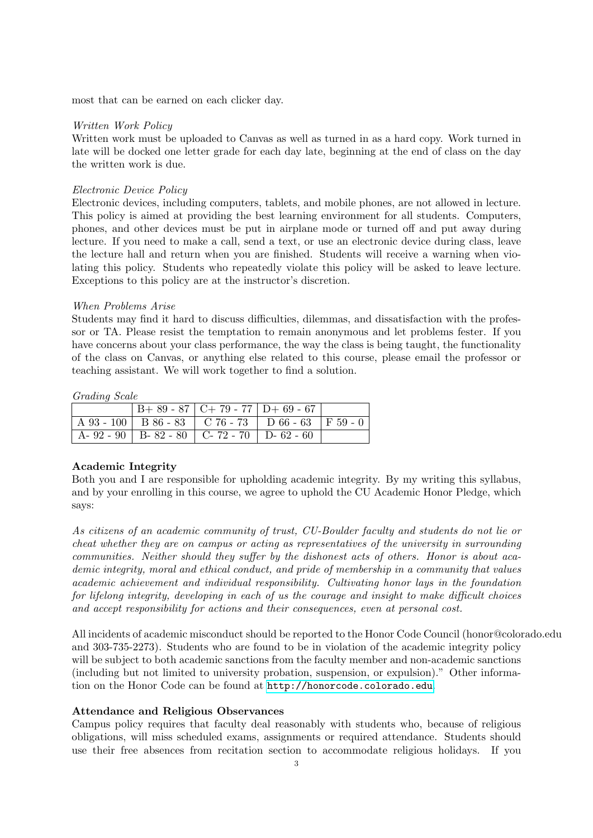most that can be earned on each clicker day.

#### Written Work Policy

Written work must be uploaded to Canvas as well as turned in as a hard copy. Work turned in late will be docked one letter grade for each day late, beginning at the end of class on the day the written work is due.

### Electronic Device Policy

Electronic devices, including computers, tablets, and mobile phones, are not allowed in lecture. This policy is aimed at providing the best learning environment for all students. Computers, phones, and other devices must be put in airplane mode or turned off and put away during lecture. If you need to make a call, send a text, or use an electronic device during class, leave the lecture hall and return when you are finished. Students will receive a warning when violating this policy. Students who repeatedly violate this policy will be asked to leave lecture. Exceptions to this policy are at the instructor's discretion.

#### When Problems Arise

Students may find it hard to discuss difficulties, dilemmas, and dissatisfaction with the professor or TA. Please resist the temptation to remain anonymous and let problems fester. If you have concerns about your class performance, the way the class is being taught, the functionality of the class on Canvas, or anything else related to this course, please email the professor or teaching assistant. We will work together to find a solution.

#### Grading Scale

|                                                   | $ B+89-87 C+79-77 D+69-67 $                               |  |
|---------------------------------------------------|-----------------------------------------------------------|--|
|                                                   | A 93 - 100   B 86 - 83   C 76 - 73   D 66 - 63   F 59 - 0 |  |
| A- 92 - 90   B- 82 - 80   C- 72 - 70   D- 62 - 60 |                                                           |  |

#### Academic Integrity

Both you and I are responsible for upholding academic integrity. By my writing this syllabus, and by your enrolling in this course, we agree to uphold the CU Academic Honor Pledge, which says:

As citizens of an academic community of trust, CU-Boulder faculty and students do not lie or cheat whether they are on campus or acting as representatives of the university in surrounding communities. Neither should they suffer by the dishonest acts of others. Honor is about academic integrity, moral and ethical conduct, and pride of membership in a community that values academic achievement and individual responsibility. Cultivating honor lays in the foundation for lifelong integrity, developing in each of us the courage and insight to make difficult choices and accept responsibility for actions and their consequences, even at personal cost.

All incidents of academic misconduct should be reported to the Honor Code Council (honor@colorado.edu and 303-735-2273). Students who are found to be in violation of the academic integrity policy will be subject to both academic sanctions from the faculty member and non-academic sanctions (including but not limited to university probation, suspension, or expulsion)." Other information on the Honor Code can be found at <http://honorcode.colorado.edu>.

#### Attendance and Religious Observances

Campus policy requires that faculty deal reasonably with students who, because of religious obligations, will miss scheduled exams, assignments or required attendance. Students should use their free absences from recitation section to accommodate religious holidays. If you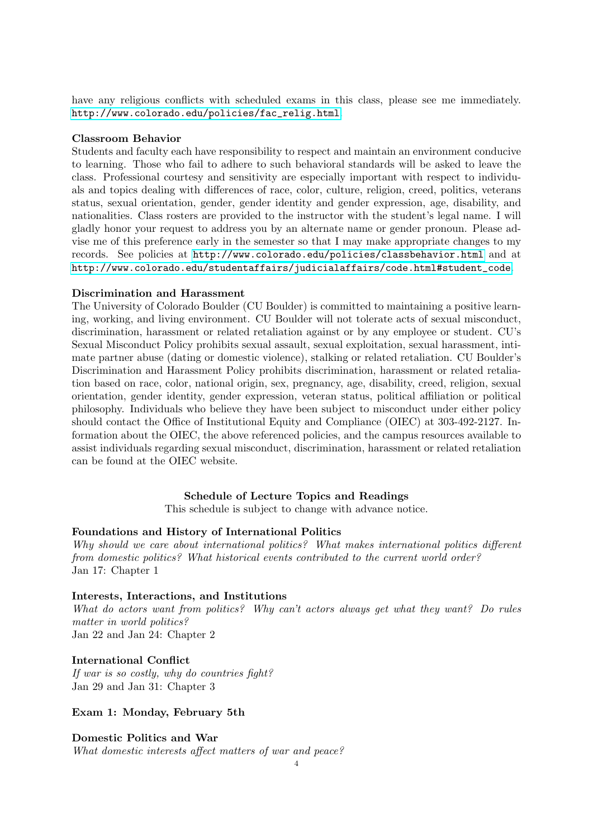have any religious conflicts with scheduled exams in this class, please see me immediately. [http://www.colorado.edu/policies/fac\\_relig.html](http://www.colorado.edu/policies/fac_relig.html).

#### Classroom Behavior

Students and faculty each have responsibility to respect and maintain an environment conducive to learning. Those who fail to adhere to such behavioral standards will be asked to leave the class. Professional courtesy and sensitivity are especially important with respect to individuals and topics dealing with differences of race, color, culture, religion, creed, politics, veterans status, sexual orientation, gender, gender identity and gender expression, age, disability, and nationalities. Class rosters are provided to the instructor with the student's legal name. I will gladly honor your request to address you by an alternate name or gender pronoun. Please advise me of this preference early in the semester so that I may make appropriate changes to my records. See policies at <http://www.colorado.edu/policies/classbehavior.html> and at [http://www.colorado.edu/studentaffairs/judicialaffairs/code.html#student\\_code](http://www.colorado.edu/studentaffairs/judicialaffairs/code.html#student_code).

#### Discrimination and Harassment

The University of Colorado Boulder (CU Boulder) is committed to maintaining a positive learning, working, and living environment. CU Boulder will not tolerate acts of sexual misconduct, discrimination, harassment or related retaliation against or by any employee or student. CU's Sexual Misconduct Policy prohibits sexual assault, sexual exploitation, sexual harassment, intimate partner abuse (dating or domestic violence), stalking or related retaliation. CU Boulder's Discrimination and Harassment Policy prohibits discrimination, harassment or related retaliation based on race, color, national origin, sex, pregnancy, age, disability, creed, religion, sexual orientation, gender identity, gender expression, veteran status, political affiliation or political philosophy. Individuals who believe they have been subject to misconduct under either policy should contact the Office of Institutional Equity and Compliance (OIEC) at 303-492-2127. Information about the OIEC, the above referenced policies, and the campus resources available to assist individuals regarding sexual misconduct, discrimination, harassment or related retaliation can be found at the OIEC website.

#### Schedule of Lecture Topics and Readings

This schedule is subject to change with advance notice.

#### Foundations and History of International Politics

Why should we care about international politics? What makes international politics different from domestic politics? What historical events contributed to the current world order? Jan 17: Chapter 1

#### Interests, Interactions, and Institutions

What do actors want from politics? Why can't actors always get what they want? Do rules matter in world politics?

Jan 22 and Jan 24: Chapter 2

# International Conflict

If war is so costly, why do countries fight? Jan 29 and Jan 31: Chapter 3

### Exam 1: Monday, February 5th

Domestic Politics and War What domestic interests affect matters of war and peace?